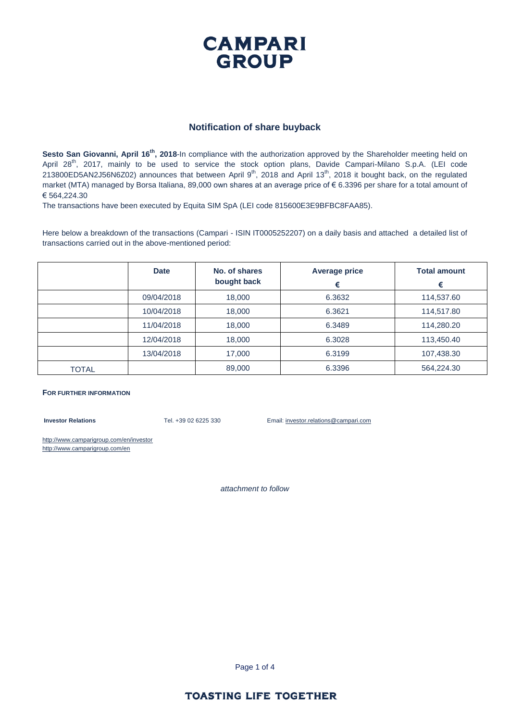

#### **Notification of share buyback**

**Sesto San Giovanni, April 16th, 2018**-In compliance with the authorization approved by the Shareholder meeting held on April 28<sup>th</sup>, 2017, mainly to be used to service the stock option plans, Davide Campari-Milano S.p.A. (LEI code 213800ED5AN2J56N6Z02) announces that between April  $9^{th}$ , 2018 and April 13 $^{th}$ , 2018 it bought back, on the regulated market (MTA) managed by Borsa Italiana, 89,000 own shares at an average price of € 6.3396 per share for a total amount of € 564,224.30

The transactions have been executed by Equita SIM SpA (LEI code 815600E3E9BFBC8FAA85).

Here below a breakdown of the transactions (Campari - ISIN IT0005252207) on a daily basis and attached a detailed list of transactions carried out in the above-mentioned period:

|       | <b>Date</b> | No. of shares<br>bought back | <b>Average price</b><br>€ | <b>Total amount</b><br>€ |
|-------|-------------|------------------------------|---------------------------|--------------------------|
|       | 09/04/2018  | 18,000                       | 6.3632                    | 114,537.60               |
|       | 10/04/2018  | 18,000                       | 6.3621                    | 114,517.80               |
|       | 11/04/2018  | 18,000                       | 6.3489                    | 114,280.20               |
|       | 12/04/2018  | 18,000                       | 6.3028                    | 113,450.40               |
|       | 13/04/2018  | 17,000                       | 6.3199                    | 107,438.30               |
| TOTAL |             | 89,000                       | 6.3396                    | 564,224.30               |

#### **FOR FURTHER INFORMATION**

**Investor Relations** Tel. +39 02 6225 330 Email: investor.relations@campari.com

http://www.camparigroup.com/en/investor http://www.camparigroup.com/en

*attachment to follow*

Page 1 of 4

#### **TOASTING LIFE TOGETHER**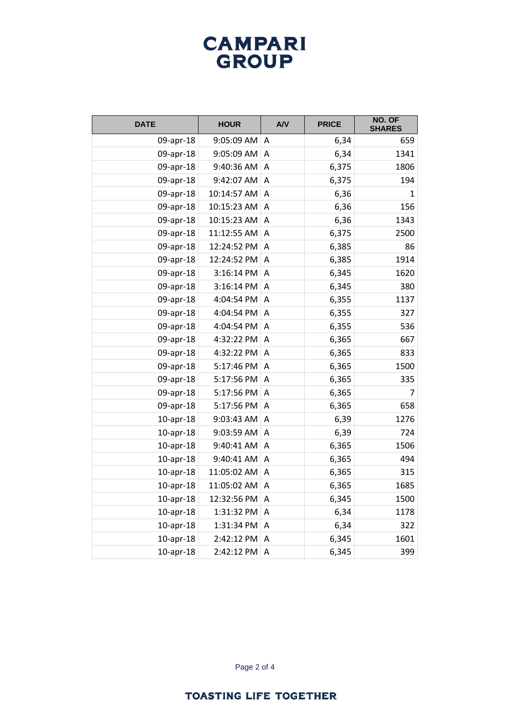# **CAMPARI**<br>GROUP

| <b>DATE</b>     | <b>HOUR</b> | A/V            | <b>PRICE</b> | NO. OF<br><b>SHARES</b> |
|-----------------|-------------|----------------|--------------|-------------------------|
| 09-apr-18       | 9:05:09 AM  | A              | 6,34         | 659                     |
| 09-apr-18       | 9:05:09 AM  | A              | 6,34         | 1341                    |
| 09-apr-18       | 9:40:36 AM  | A              | 6,375        | 1806                    |
| 09-apr-18       | 9:42:07 AM  | A              | 6,375        | 194                     |
| 09-apr-18       | 10:14:57 AM | Α              | 6,36         | 1                       |
| 09-apr-18       | 10:15:23 AM | A              | 6,36         | 156                     |
| 09-apr-18       | 10:15:23 AM | A              | 6,36         | 1343                    |
| 09-apr-18       | 11:12:55 AM | A              | 6,375        | 2500                    |
| 09-apr-18       | 12:24:52 PM | Α              | 6,385        | 86                      |
| 09-apr-18       | 12:24:52 PM | A              | 6,385        | 1914                    |
| 09-apr-18       | 3:16:14 PM  | A              | 6,345        | 1620                    |
| 09-apr-18       | 3:16:14 PM  | A              | 6,345        | 380                     |
| 09-apr-18       | 4:04:54 PM  | Α              | 6,355        | 1137                    |
| 09-apr-18       | 4:04:54 PM  | A              | 6,355        | 327                     |
| 09-apr-18       | 4:04:54 PM  | A              | 6,355        | 536                     |
| 09-apr-18       | 4:32:22 PM  | Α              | 6,365        | 667                     |
| 09-apr-18       | 4:32:22 PM  | Α              | 6,365        | 833                     |
| 09-apr-18       | 5:17:46 PM  | A              | 6,365        | 1500                    |
| 09-apr-18       | 5:17:56 PM  | A              | 6,365        | 335                     |
| 09-apr-18       | 5:17:56 PM  | A              | 6,365        | 7                       |
| 09-apr-18       | 5:17:56 PM  | A              | 6,365        | 658                     |
| $10$ -apr- $18$ | 9:03:43 AM  | A              | 6,39         | 1276                    |
| $10$ -apr- $18$ | 9:03:59 AM  | A              | 6,39         | 724                     |
| $10$ -apr- $18$ | 9:40:41 AM  | A              | 6,365        | 1506                    |
| $10$ -apr- $18$ | 9:40:41 AM  | A              | 6,365        | 494                     |
| $10$ -apr- $18$ | 11:05:02 AM | A              | 6,365        | 315                     |
| $10$ -apr- $18$ | 11:05:02 AM | Α              | 6,365        | 1685                    |
| $10$ -apr- $18$ | 12:32:56 PM | A              | 6,345        | 1500                    |
| $10$ -apr- $18$ | 1:31:32 PM  | $\overline{A}$ | 6,34         | 1178                    |
| $10$ -apr- $18$ | 1:31:34 PM  | Α              | 6,34         | 322                     |
| $10$ -apr- $18$ | 2:42:12 PM  | Α              | 6,345        | 1601                    |
| $10$ -apr- $18$ | 2:42:12 PM  | Α              | 6,345        | 399                     |

Page 2 of 4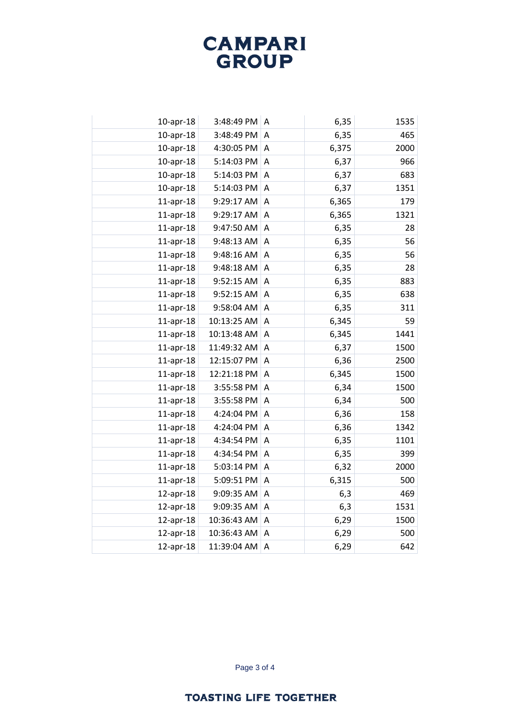# **CAMPARI**<br>GROUP

| $10$ -apr- $18$ | 3:48:49 PM  | A              | 6,35  | 1535 |
|-----------------|-------------|----------------|-------|------|
| $10$ -apr- $18$ | 3:48:49 PM  | Α              | 6,35  | 465  |
| $10$ -apr- $18$ | 4:30:05 PM  | A              | 6,375 | 2000 |
| $10$ -apr- $18$ | 5:14:03 PM  | Α              | 6,37  | 966  |
| $10$ -apr- $18$ | 5:14:03 PM  | Α              | 6,37  | 683  |
| $10$ -apr- $18$ | 5:14:03 PM  | A              | 6,37  | 1351 |
| $11$ -apr-18    | 9:29:17 AM  | Α              | 6,365 | 179  |
| $11$ -apr-18    | 9:29:17 AM  | A              | 6,365 | 1321 |
| $11$ -apr-18    | 9:47:50 AM  | Α              | 6,35  | 28   |
| $11$ -apr-18    | 9:48:13 AM  | Α              | 6,35  | 56   |
| $11$ -apr-18    | 9:48:16 AM  | A              | 6,35  | 56   |
| $11$ -apr-18    | 9:48:18 AM  | A              | 6,35  | 28   |
| $11$ -apr-18    | 9:52:15 AM  | Α              | 6,35  | 883  |
| $11$ -apr-18    | 9:52:15 AM  | A              | 6,35  | 638  |
| $11$ -apr-18    | 9:58:04 AM  | A              | 6,35  | 311  |
| $11$ -apr-18    | 10:13:25 AM | A              | 6,345 | 59   |
| $11$ -apr-18    | 10:13:48 AM | Α              | 6,345 | 1441 |
| $11$ -apr-18    | 11:49:32 AM | $\overline{A}$ | 6,37  | 1500 |
| $11$ -apr-18    | 12:15:07 PM | A              | 6,36  | 2500 |
| $11$ -apr-18    | 12:21:18 PM | A              | 6,345 | 1500 |
| $11$ -apr-18    | 3:55:58 PM  | Α              | 6,34  | 1500 |
| $11$ -apr-18    | 3:55:58 PM  | $\overline{A}$ | 6,34  | 500  |
| $11$ -apr-18    | 4:24:04 PM  | A              | 6,36  | 158  |
| $11$ -apr-18    | 4:24:04 PM  | Α              | 6,36  | 1342 |
| $11$ -apr-18    | 4:34:54 PM  | A              | 6,35  | 1101 |
| $11$ -apr-18    | 4:34:54 PM  | A              | 6,35  | 399  |
| $11$ -apr-18    | 5:03:14 PM  | A              | 6,32  | 2000 |
| $11$ -apr-18    | 5:09:51 PM  | Α              | 6,315 | 500  |
| $12$ -apr-18    | 9:09:35 AM  | A              | 6,3   | 469  |
| $12$ -apr-18    | 9:09:35 AM  | $\overline{A}$ | 6,3   | 1531 |
| 12-apr-18       | 10:36:43 AM | A              | 6,29  | 1500 |
| $12$ -apr-18    | 10:36:43 AM | Α              | 6,29  | 500  |
| $12$ -apr-18    | 11:39:04 AM | Α              | 6,29  | 642  |
|                 |             |                |       |      |

Page 3 of 4

### **TOASTING LIFE TOGETHER**